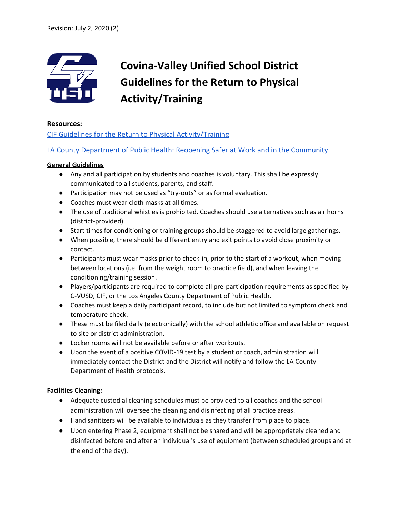

# **Covina-Valley Unified School District Guidelines for the Return to Physical Activity/Training**

#### **Resources:**

[CIF Guidelines for the Return to Physical Activity/Training](https://drive.google.com/file/d/1Jwg62zX5_NO4R2MjXhmYt5QJ-ExGsHhD/view?usp=sharing)

[LA County Department of Public Health: Reopening Safer at Work and in the Community](http://www.ph.lacounty.gov/media/Coronavirus/docs/HOO/HOO_COVID-19_Safer_at_Work_and_in_the_Community-Phase%203_06182020_WITH_APPENDICES.pdf)

#### **General Guidelines**

- Any and all participation by students and coaches is voluntary. This shall be expressly communicated to all students, parents, and staff.
- Participation may not be used as "try-outs" or as formal evaluation.
- Coaches must wear cloth masks at all times.
- The use of traditional whistles is prohibited. Coaches should use alternatives such as air horns (district-provided).
- Start times for conditioning or training groups should be staggered to avoid large gatherings.
- When possible, there should be different entry and exit points to avoid close proximity or contact.
- Participants must wear masks prior to check-in, prior to the start of a workout, when moving between locations (i.e. from the weight room to practice field), and when leaving the conditioning/training session.
- Players/participants are required to complete all pre-participation requirements as specified by C-VUSD, CIF, or the Los Angeles County Department of Public Health.
- Coaches must keep a daily participant record, to include but not limited to symptom check and temperature check.
- These must be filed daily (electronically) with the school athletic office and available on request to site or district administration.
- Locker rooms will not be available before or after workouts.
- Upon the event of a positive COVID-19 test by a student or coach, administration will immediately contact the District and the District will notify and follow the LA County Department of Health protocols.

#### **Facilities Cleaning:**

- Adequate custodial cleaning schedules must be provided to all coaches and the school administration will oversee the cleaning and disinfecting of all practice areas.
- Hand sanitizers will be available to individuals as they transfer from place to place.
- Upon entering Phase 2, equipment shall not be shared and will be appropriately cleaned and disinfected before and after an individual's use of equipment (between scheduled groups and at the end of the day).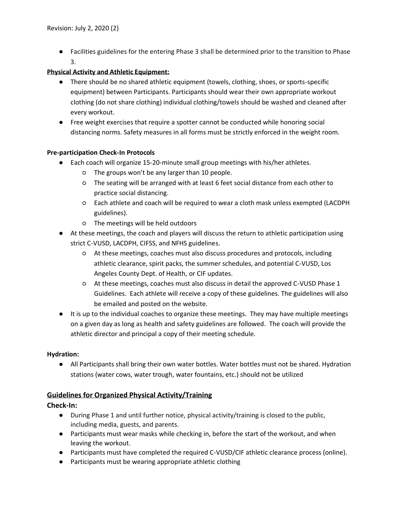● Facilities guidelines for the entering Phase 3 shall be determined prior to the transition to Phase 3.

#### **Physical Activity and Athletic Equipment:**

- There should be no shared athletic equipment (towels, clothing, shoes, or sports-specific equipment) between Participants. Participants should wear their own appropriate workout clothing (do not share clothing) individual clothing/towels should be washed and cleaned after every workout.
- Free weight exercises that require a spotter cannot be conducted while honoring social distancing norms. Safety measures in all forms must be strictly enforced in the weight room.

#### **Pre-participation Check-In Protocols**

- Each coach will organize 15-20-minute small group meetings with his/her athletes.
	- The groups won't be any larger than 10 people.
	- The seating will be arranged with at least 6 feet social distance from each other to practice social distancing.
	- Each athlete and coach will be required to wear a cloth mask unless exempted (LACDPH guidelines).
	- The meetings will be held outdoors
- At these meetings, the coach and players will discuss the return to athletic participation using strict C-VUSD, LACDPH, CIFSS, and NFHS guidelines.
	- At these meetings, coaches must also discuss procedures and protocols, including athletic clearance, spirit packs, the summer schedules, and potential C-VUSD, Los Angeles County Dept. of Health, or CIF updates.
	- At these meetings, coaches must also discuss in detail the approved C-VUSD Phase 1 Guidelines. Each athlete will receive a copy of these guidelines. The guidelines will also be emailed and posted on the website.
- It is up to the individual coaches to organize these meetings. They may have multiple meetings on a given day as long as health and safety guidelines are followed. The coach will provide the athletic director and principal a copy of their meeting schedule.

#### **Hydration:**

● All Participants shall bring their own water bottles. Water bottles must not be shared. Hydration stations (water cows, water trough, water fountains, etc.) should not be utilized

#### **Guidelines for Organized Physical Activity/Training**

#### **Check-In:**

- During Phase 1 and until further notice, physical activity/training is closed to the public, including media, guests, and parents.
- Participants must wear masks while checking in, before the start of the workout, and when leaving the workout.
- Participants must have completed the required C-VUSD/CIF athletic clearance process (online).
- Participants must be wearing appropriate athletic clothing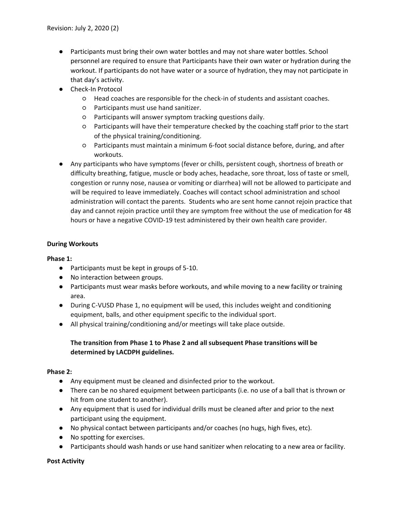- Participants must bring their own water bottles and may not share water bottles. School personnel are required to ensure that Participants have their own water or hydration during the workout. If participants do not have water or a source of hydration, they may not participate in that day's activity.
- Check-In Protocol
	- Head coaches are responsible for the check-in of students and assistant coaches.
	- Participants must use hand sanitizer.
	- Participants will answer symptom tracking questions daily.
	- Participants will have their temperature checked by the coaching staff prior to the start of the physical training/conditioning.
	- Participants must maintain a minimum 6-foot social distance before, during, and after workouts.
- Any participants who have symptoms (fever or chills, persistent cough, shortness of breath or difficulty breathing, fatigue, muscle or body aches, headache, sore throat, loss of taste or smell, congestion or runny nose, nausea or vomiting or diarrhea) will not be allowed to participate and will be required to leave immediately. Coaches will contact school administration and school administration will contact the parents. Students who are sent home cannot rejoin practice that day and cannot rejoin practice until they are symptom free without the use of medication for 48 hours or have a negative COVID-19 test administered by their own health care provider.

#### **During Workouts**

#### **Phase 1:**

- Participants must be kept in groups of 5-10.
- No interaction between groups.
- Participants must wear masks before workouts, and while moving to a new facility or training area.
- During C-VUSD Phase 1, no equipment will be used, this includes weight and conditioning equipment, balls, and other equipment specific to the individual sport.
- All physical training/conditioning and/or meetings will take place outside.

#### **The transition from Phase 1 to Phase 2 and all subsequent Phase transitions will be determined by LACDPH guidelines.**

#### **Phase 2:**

- Any equipment must be cleaned and disinfected prior to the workout.
- There can be no shared equipment between participants (i.e. no use of a ball that is thrown or hit from one student to another).
- Any equipment that is used for individual drills must be cleaned after and prior to the next participant using the equipment.
- No physical contact between participants and/or coaches (no hugs, high fives, etc).
- No spotting for exercises.
- Participants should wash hands or use hand sanitizer when relocating to a new area or facility.

**Post Activity**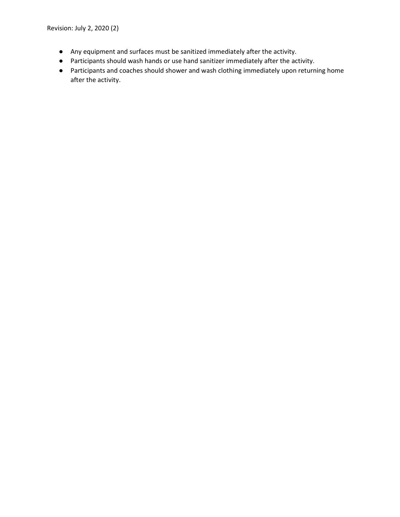Revision: July 2, 2020 (2)

- Any equipment and surfaces must be sanitized immediately after the activity.
- Participants should wash hands or use hand sanitizer immediately after the activity.
- Participants and coaches should shower and wash clothing immediately upon returning home after the activity.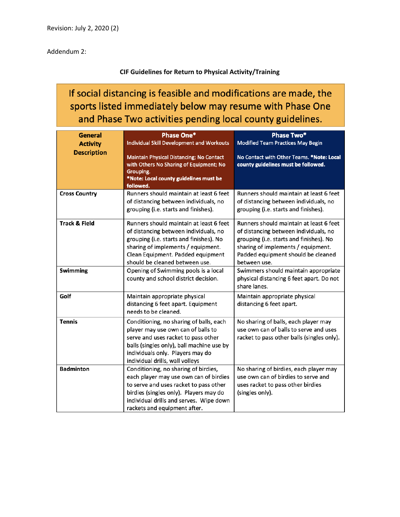Addendum 2:

### **CIF Guidelines for Return to Physical Activity/Training**

## If social distancing is feasible and modifications are made, the sports listed immediately below may resume with Phase One and Phase Two activities pending local county guidelines.

| General                  | <b>Phase One*</b>                                                                                                                                                                                                                             | <b>Phase Two*</b>                                                                                                                                                                                                       |
|--------------------------|-----------------------------------------------------------------------------------------------------------------------------------------------------------------------------------------------------------------------------------------------|-------------------------------------------------------------------------------------------------------------------------------------------------------------------------------------------------------------------------|
| <b>Activity</b>          | <b>Individual Skill Development and Workouts</b>                                                                                                                                                                                              | <b>Modified Team Practices May Begin</b>                                                                                                                                                                                |
| <b>Description</b>       | Maintain Physical Distancing; No Contact<br>with Others No Sharing of Equipment; No<br>Grouping.<br>*Note: Local county guidelines must be<br>followed.                                                                                       | No Contact with Other Teams. *Note: Local<br>county guidelines must be followed.                                                                                                                                        |
| <b>Cross Country</b>     | Runners should maintain at least 6 feet<br>of distancing between individuals, no<br>grouping (i.e. starts and finishes).                                                                                                                      | Runners should maintain at least 6 feet<br>of distancing between individuals, no<br>grouping (i.e. starts and finishes).                                                                                                |
| <b>Track &amp; Field</b> | Runners should maintain at least 6 feet<br>of distancing between individuals, no<br>grouping (i.e. starts and finishes). No<br>sharing of implements / equipment.<br>Clean Equipment. Padded equipment<br>should be cleaned between use.      | Runners should maintain at least 6 feet<br>of distancing between individuals, no<br>grouping (i.e. starts and finishes). No<br>sharing of implements / equipment.<br>Padded equipment should be cleaned<br>between use. |
| <b>Swimming</b>          | Opening of Swimming pools is a local<br>county and school district decision.                                                                                                                                                                  | Swimmers should maintain appropriate<br>physical distancing 6 feet apart. Do not<br>share lanes.                                                                                                                        |
| Golf                     | Maintain appropriate physical<br>distancing 6 feet apart. Equipment<br>needs to be cleaned.                                                                                                                                                   | Maintain appropriate physical<br>distancing 6 feet apart.                                                                                                                                                               |
| <b>Tennis</b>            | Conditioning, no sharing of balls, each<br>player may use own can of balls to<br>serve and uses racket to pass other<br>balls (singles only), ball machine use by<br>individuals only. Players may do<br>individual drills, wall volleys      | No sharing of balls, each player may<br>use own can of balls to serve and uses<br>racket to pass other balls (singles only).                                                                                            |
| <b>Badminton</b>         | Conditioning, no sharing of birdies,<br>each player may use own can of birdies<br>to serve and uses racket to pass other<br>birdies (singles only). Players may do<br>individual drills and serves. Wipe down<br>rackets and equipment after. | No sharing of birdies, each player may<br>use own can of birdies to serve and<br>uses racket to pass other birdies<br>(singles only).                                                                                   |